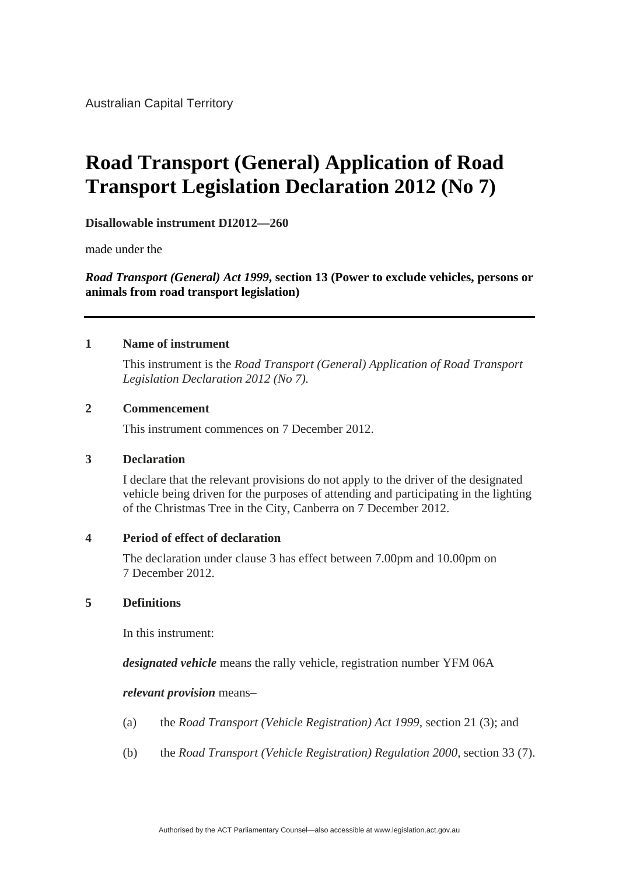# **Road Transport (General) Application of Road Transport Legislation Declaration 2012 (No 7)**

**Disallowable instrument DI2012—260**

made under the

*Road Transport (General) Act 1999***, section 13 (Power to exclude vehicles, persons or animals from road transport legislation)**

#### **1 Name of instrument**

 This instrument is the *Road Transport (General) Application of Road Transport Legislation Declaration 2012 (No 7).*

#### **2 Commencement**

This instrument commences on 7 December 2012.

#### **3 Declaration**

I declare that the relevant provisions do not apply to the driver of the designated vehicle being driven for the purposes of attending and participating in the lighting of the Christmas Tree in the City, Canberra on 7 December 2012.

#### **4 Period of effect of declaration**

The declaration under clause 3 has effect between 7.00pm and 10.00pm on 7 December 2012.

### **5 Definitions**

In this instrument:

*designated vehicle* means the rally vehicle, registration number YFM 06A

#### *relevant provision* means**–**

- (a) the *Road Transport (Vehicle Registration) Act 1999,* section 21 (3); and
- (b) the *Road Transport (Vehicle Registration) Regulation 2000,* section 33 (7).